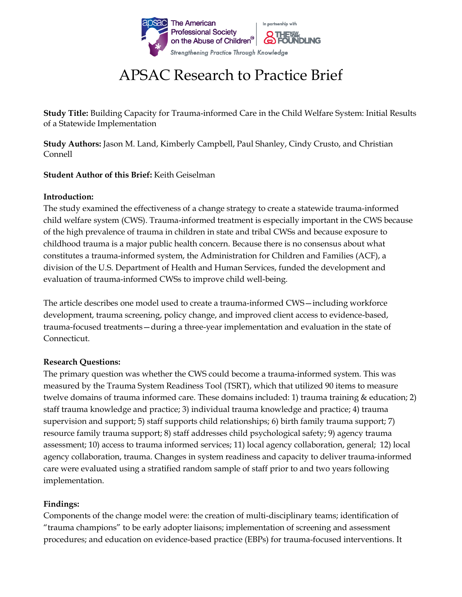

# APSAC Research to Practice Brief

**Study Title:** Building Capacity for Trauma-informed Care in the Child Welfare System: Initial Results of a Statewide Implementation

**Study Authors:** Jason M. Land, Kimberly Campbell, Paul Shanley, Cindy Crusto, and Christian Connell

### **Student Author of this Brief:** Keith Geiselman

### **Introduction:**

The study examined the effectiveness of a change strategy to create a statewide trauma-informed child welfare system (CWS). Trauma-informed treatment is especially important in the CWS because of the high prevalence of trauma in children in state and tribal CWSs and because exposure to childhood trauma is a major public health concern. Because there is no consensus about what constitutes a trauma-informed system, the Administration for Children and Families (ACF), a division of the U.S. Department of Health and Human Services, funded the development and evaluation of trauma-informed CWSs to improve child well-being.

The article describes one model used to create a trauma-informed CWS—including workforce development, trauma screening, policy change, and improved client access to evidence-based, trauma-focused treatments—during a three-year implementation and evaluation in the state of Connecticut.

#### **Research Questions:**

The primary question was whether the CWS could become a trauma-informed system. This was measured by the Trauma System Readiness Tool (TSRT), which that utilized 90 items to measure twelve domains of trauma informed care. These domains included: 1) trauma training & education; 2) staff trauma knowledge and practice; 3) individual trauma knowledge and practice; 4) trauma supervision and support; 5) staff supports child relationships; 6) birth family trauma support; 7) resource family trauma support; 8) staff addresses child psychological safety; 9) agency trauma assessment; 10) access to trauma informed services; 11) local agency collaboration, general; 12) local agency collaboration, trauma. Changes in system readiness and capacity to deliver trauma-informed care were evaluated using a stratified random sample of staff prior to and two years following implementation.

# **Findings:**

Components of the change model were: the creation of multi-disciplinary teams; identification of "trauma champions" to be early adopter liaisons; implementation of screening and assessment procedures; and education on evidence-based practice (EBPs) for trauma-focused interventions. It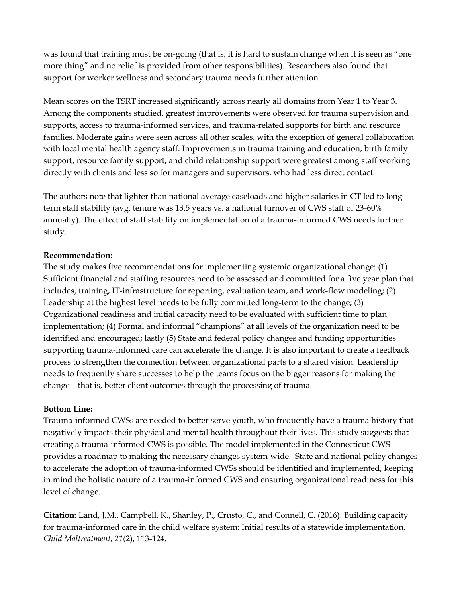was found that training must be on-going (that is, it is hard to sustain change when it is seen as "one more thing" and no relief is provided from other responsibilities). Researchers also found that support for worker wellness and secondary trauma needs further attention.

Mean scores on the TSRT increased significantly across nearly all domains from Year 1 to Year 3. Among the components studied, greatest improvements were observed for trauma supervision and supports, access to trauma-informed services, and trauma-related supports for birth and resource families. Moderate gains were seen across all other scales, with the exception of general collaboration with local mental health agency staff. Improvements in trauma training and education, birth family support, resource family support, and child relationship support were greatest among staff working directly with clients and less so for managers and supervisors, who had less direct contact.

The authors note that lighter than national average caseloads and higher salaries in CT led to longterm staff stability (avg. tenure was 13.5 years vs. a national turnover of CWS staff of 23-60% annually). The effect of staff stability on implementation of a trauma-informed CWS needs further study.

### **Recommendation:**

The study makes five recommendations for implementing systemic organizational change: (1) Sufficient financial and staffing resources need to be assessed and committed for a five year plan that includes, training, IT-infrastructure for reporting, evaluation team, and work-flow modeling; (2) Leadership at the highest level needs to be fully committed long-term to the change; (3) Organizational readiness and initial capacity need to be evaluated with sufficient time to plan implementation; (4) Formal and informal "champions" at all levels of the organization need to be identified and encouraged; lastly (5) State and federal policy changes and funding opportunities supporting trauma-informed care can accelerate the change. It is also important to create a feedback process to strengthen the connection between organizational parts to a shared vision. Leadership needs to frequently share successes to help the teams focus on the bigger reasons for making the change—that is, better client outcomes through the processing of trauma.

# **Bottom Line:**

Trauma-informed CWSs are needed to better serve youth, who frequently have a trauma history that negatively impacts their physical and mental health throughout their lives. This study suggests that creating a trauma-informed CWS is possible. The model implemented in the Connecticut CWS provides a roadmap to making the necessary changes system-wide. State and national policy changes to accelerate the adoption of trauma-informed CWSs should be identified and implemented, keeping in mind the holistic nature of a trauma-informed CWS and ensuring organizational readiness for this level of change.

**Citation:** Land, J.M., Campbell, K., Shanley, P., Crusto, C., and Connell, C. (2016). Building capacity for trauma-informed care in the child welfare system: Initial results of a statewide implementation. *Child Maltreatment, 21*(2), 113-124.